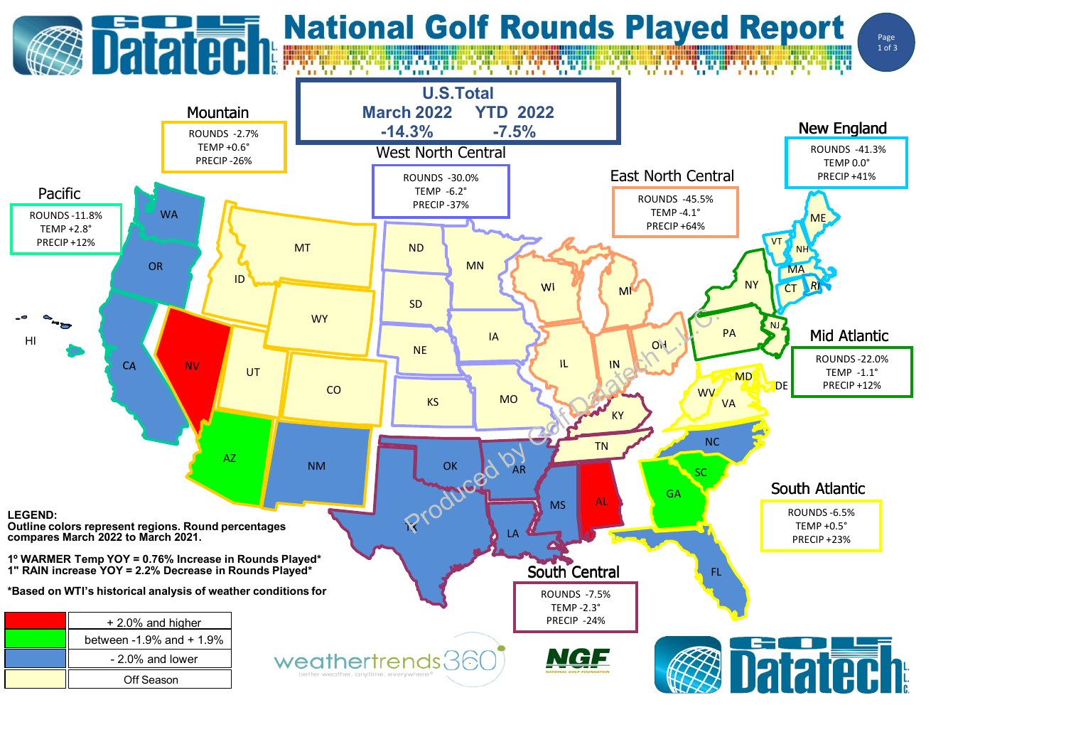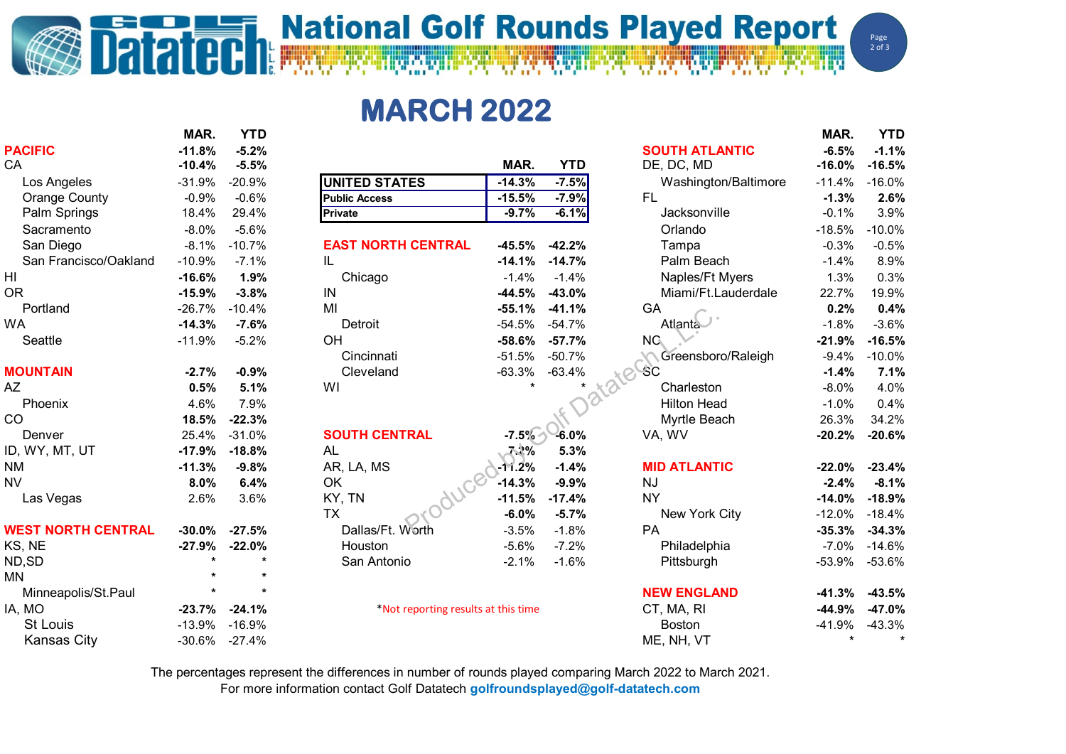## **Datated National Golf Rounds Played Report**

Page  $2$  of 3

**MARCH 2022**

|                           | MAR.          | <b>YTD</b> |                                     |          |            |                       | MAR.     | <b>YTD</b> |
|---------------------------|---------------|------------|-------------------------------------|----------|------------|-----------------------|----------|------------|
| <b>PACIFIC</b>            | $-11.8%$      | $-5.2%$    |                                     |          |            | <b>SOUTH ATLANTIC</b> | $-6.5%$  | $-1.1%$    |
| CA                        | $-10.4%$      | $-5.5%$    |                                     | MAR.     | <b>YTD</b> | DE, DC, MD            | $-16.0%$ | $-16.5%$   |
| Los Angeles               | $-31.9%$      | $-20.9%$   | <b>UNITED STATES</b>                | $-14.3%$ | $-7.5%$    | Washington/Baltimore  | $-11.4%$ | $-16.0%$   |
| <b>Orange County</b>      | $-0.9%$       | $-0.6%$    | <b>Public Access</b>                | $-15.5%$ | $-7.9%$    | <b>FL</b>             | $-1.3%$  | 2.6%       |
| Palm Springs              | 18.4%         | 29.4%      | Private                             | $-9.7%$  | $-6.1%$    | Jacksonville          | $-0.1%$  | 3.9%       |
| Sacramento                | $-8.0%$       | $-5.6%$    |                                     |          |            | Orlando               | $-18.5%$ | $-10.0%$   |
| San Diego                 | $-8.1%$       | $-10.7%$   | <b>EAST NORTH CENTRAL</b>           | $-45.5%$ | $-42.2%$   | Tampa                 | $-0.3%$  | $-0.5%$    |
| San Francisco/Oakland     | $-10.9%$      | $-7.1%$    | IL                                  | $-14.1%$ | $-14.7%$   | Palm Beach            | $-1.4%$  | 8.9%       |
| HI                        | $-16.6%$      | 1.9%       | Chicago                             | $-1.4%$  | $-1.4%$    | Naples/Ft Myers       | 1.3%     | 0.3%       |
| 0R                        | $-15.9%$      | $-3.8%$    | IN                                  | $-44.5%$ | $-43.0%$   | Miami/Ft.Lauderdale   | 22.7%    | 19.9%      |
| Portland                  | $-26.7%$      | $-10.4%$   | MI                                  | $-55.1%$ | $-41.1%$   | GA                    | 0.2%     | 0.4%       |
| WA                        | $-14.3%$      | $-7.6%$    | Detroit                             | $-54.5%$ | $-54.7%$   | Atlanta               | $-1.8%$  | $-3.6%$    |
| Seattle                   | $-11.9%$      | $-5.2%$    | OH                                  | $-58.6%$ | $-57.7%$   | NG.                   | $-21.9%$ | $-16.5%$   |
|                           |               |            | Cincinnati                          | $-51.5%$ | $-50.7%$   | Greensboro/Raleigh    | $-9.4%$  | $-10.0%$   |
| <b>MOUNTAIN</b>           | $-2.7%$       | $-0.9%$    | Cleveland                           | $-63.3%$ | $-63.4%$   | -SC                   | $-1.4%$  | 7.1%       |
| AΖ                        | 0.5%          | 5.1%       | WI                                  |          |            | Charleston            | $-8.0%$  | 4.0%       |
| Phoenix                   | 4.6%          | 7.9%       |                                     |          |            | <b>Hilton Head</b>    | $-1.0%$  | 0.4%       |
| CO                        | 18.5%         | $-22.3%$   |                                     |          |            | Myrtle Beach          | 26.3%    | 34.2%      |
| Denver                    | 25.4%         | $-31.0%$   | <b>SOUTH CENTRAL</b>                | $-7.5%$  | -6.0%      | VA, WV                | $-20.2%$ | $-20.6%$   |
| ID, WY, MT, UT            | $-17.9%$      | $-18.8%$   | <b>AL</b>                           | 7.2%     | 5.3%       |                       |          |            |
| NΜ                        | $-11.3%$      | $-9.8%$    | AR, LA, MS                          | $-11.2%$ | $-1.4%$    | <b>MID ATLANTIC</b>   | $-22.0%$ | $-23.4%$   |
| <b>NV</b>                 | 8.0%          | 6.4%       | OK                                  | $-14.3%$ | $-9.9%$    | <b>NJ</b>             | $-2.4%$  | $-8.1%$    |
| Las Vegas                 | 2.6%          | 3.6%       | KY, TN                              | $-11.5%$ | $-17.4%$   | <b>NY</b>             | $-14.0%$ | $-18.9%$   |
|                           |               |            | <b>TX</b>                           | $-6.0%$  | $-5.7%$    | New York City         | $-12.0%$ | $-18.4%$   |
| <b>WEST NORTH CENTRAL</b> | $-30.0\%$     | $-27.5%$   | Dallas/Ft. Worth                    | $-3.5%$  | $-1.8%$    | PA                    | $-35.3%$ | $-34.3%$   |
| KS, NE                    | $-27.9%$      | $-22.0%$   | Houston                             | $-5.6%$  | $-7.2%$    | Philadelphia          | $-7.0%$  | $-14.6%$   |
| ND,SD                     |               |            | San Antonio                         | $-2.1%$  | $-1.6%$    | Pittsburgh            | $-53.9%$ | $-53.6%$   |
| MΝ                        |               |            |                                     |          |            |                       |          |            |
| Minneapolis/St.Paul       |               |            |                                     |          |            | <b>NEW ENGLAND</b>    | $-41.3%$ | $-43.5%$   |
| IA, MO                    | $-23.7%$      | $-24.1%$   | *Not reporting results at this time |          |            | CT, MA, RI            | $-44.9%$ | $-47.0%$   |
| <b>St Louis</b>           | $-13.9%$      | $-16.9%$   |                                     |          |            | <b>Boston</b>         | $-41.9%$ | $-43.3%$   |
| <b>Kansas City</b>        | -30.6% -27.4% |            |                                     |          |            | ME, NH, VT            |          | $\star$    |
|                           |               |            |                                     |          |            |                       |          |            |

The percentages represent the differences in number of rounds played comparing March 2022 to March 2021.

For more information contact Golf Datatech **golfroundsplayed@golf-datatech.com**